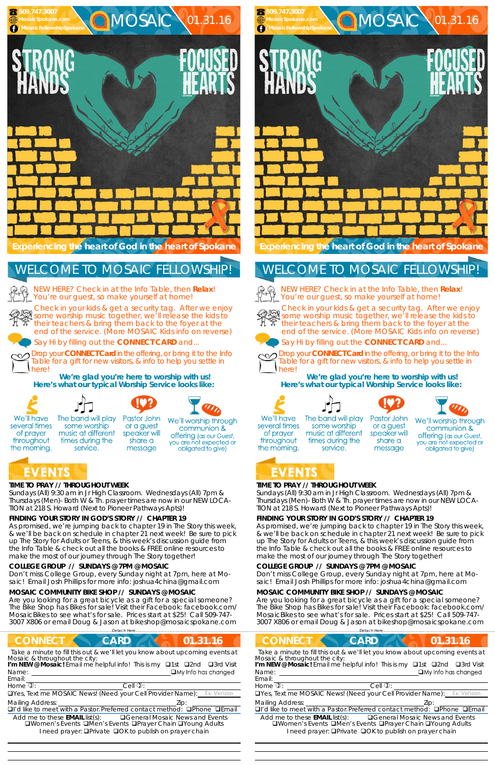## **TIME TO PRAY // THROUGHOUT WEEK**

*Sundays* (All) 9:30 am in Jr High Classroom. *Wednesdays* (All) 7pm & *Thursdays* (Men)- Both W & Th. prayer times are now in our *NEW LOCA-TION at 218 S. Howard* (Next to Pioneer Pathways Apts)!

## **FINDING YOUR STORY IN GOD'S STORY // CHAPTER 19**

As promised, we're jumping back to chapter 19 in The Story this week, & we'll be back on schedule in chapter 21 next week! Be sure to pick up The Story for Adults or Teens, & this week's discussion guide from the Info Table & check out all the books & FREE online resources to make the most of our journey through The Story together!

#### **COLLEGE GROUP // SUNDAYS @ 7PM @ MOSAIC**

Don't miss College Group, every Sunday night at 7pm, here at Mosaic! Email Josh Phillips for more info: joshua4china@gmail.com

#### **MOSAIC COMMUNITY BIKE SHOP // SUNDAYS @ MOSAIC**

Are you looking for a great bicycle as a gift for a special someone? The Bike Shop has Bikes for sale! Visit their Facebook: facebook.com/ MosaicBikes to see what's for sale. Prices start at \$25! Call 509-747- 3007 X806 or email Doug & Jason at bikeshop@mosaicspokane.com



# **EVENTS**

NEW HERE? Check in at the Info Table, then **Relax**! You're our guest, so make yourself at home!



Drop your **CONNECT Card** in the offering, or bring it to the Info Table for a gift for new visitors, & info to help you settle in herel

or a guest

speaker will

share a

message

 

## **TIME TO PRAY // THROUGHOUT WEEK**

*Sundays* (All) 9:30 am in Jr High Classroom. *Wednesdays* (All) 7pm & *Thursdays* (Men)- Both W & Th. prayer times are now in our *NEW LOCA-TION at 218 S. Howard* (Next to Pioneer Pathways Apts)!

## **FINDING YOUR STORY IN GOD'S STORY // CHAPTER 19**

As promised, we're jumping back to chapter 19 in The Story this week, & we'll be back on schedule in chapter 21 next week! Be sure to pick up The Story for Adults or Teens, & this week's discussion guide from the Info Table & check out all the books & FREE online resources to make the most of our journey through The Story together!

| <b>CONNECT</b>                                                                                                                                                                                                                                                                                                               | <b>CONNECT</b>                                                                                                                                                                                                                                                                                                                   |
|------------------------------------------------------------------------------------------------------------------------------------------------------------------------------------------------------------------------------------------------------------------------------------------------------------------------------|----------------------------------------------------------------------------------------------------------------------------------------------------------------------------------------------------------------------------------------------------------------------------------------------------------------------------------|
| 01.31.16                                                                                                                                                                                                                                                                                                                     | <b>CARD</b>                                                                                                                                                                                                                                                                                                                      |
| <b>CARD</b>                                                                                                                                                                                                                                                                                                                  | 01.31.16                                                                                                                                                                                                                                                                                                                         |
| Take a minute to fill this out & we'll let you know about upcoming events at                                                                                                                                                                                                                                                 | Take a minute to fill this out & we'll let you know about upcoming events at                                                                                                                                                                                                                                                     |
| Mosaic & throughout the city:                                                                                                                                                                                                                                                                                                | Mosaic & throughout the city:                                                                                                                                                                                                                                                                                                    |
| I'm NEW @ Mosaic! Email me helpful info! This is my <b>Q1st Q2nd</b>                                                                                                                                                                                                                                                         | I'm NEW @ Mosaic! Email me helpful info! This is my <b>Q1st</b> Q2nd                                                                                                                                                                                                                                                             |
| □3rd Visit                                                                                                                                                                                                                                                                                                                   | $\Box$ 3rd Visit                                                                                                                                                                                                                                                                                                                 |
| $\Box$ My Info has changed                                                                                                                                                                                                                                                                                                   | $\Box$ My Info has changed                                                                                                                                                                                                                                                                                                       |
| Name:                                                                                                                                                                                                                                                                                                                        | Name:                                                                                                                                                                                                                                                                                                                            |
| Email:                                                                                                                                                                                                                                                                                                                       | Email:                                                                                                                                                                                                                                                                                                                           |
| Home $\overline{v}$ :                                                                                                                                                                                                                                                                                                        | Home $\overline{v}$ :                                                                                                                                                                                                                                                                                                            |
| $Cell$ $\mathcal{D}$ :                                                                                                                                                                                                                                                                                                       | Cell $\mathbb{Q}$ :                                                                                                                                                                                                                                                                                                              |
| <b>OYes, Text me MOSAIC News! (Need your Cell Provider Name):</b> Ex: Verizon                                                                                                                                                                                                                                                | <b>OYes, Text me MOSAIC News! (Need your Cell Provider Name):</b> Ex: Verizon                                                                                                                                                                                                                                                    |
| <b>Mailing Address:</b><br>□I'd like to meet with a Pastor. Preferred contact method: □Phone □Email<br>Add me to these <b>EMAIL</b> list(s):<br><b>Q</b> General Mosaic News and Events<br><b>QWomen's Events QMen's Events QPrayer Chain QYoung Adults</b><br>I need prayer: <b>QPrivate QOK to publish on prayer chain</b> | <b>Mailing Address:</b><br>DI'd like to meet with a Pastor. Preferred contact method:<br>$\Box$ Phone<br>□Fmail<br>Add me to these <b>EMAIL</b> list(s):<br><b>QGeneral Mosaic News and Events</b><br>□Women's Events □Men's Events □Prayer Chain □Young Adults<br>I need prayer: <b>QPrivate QOK to publish on prayer chain</b> |

#### **COLLEGE GROUP // SUNDAYS @ 7PM @ MOSAIC**

Don't miss College Group, every Sunday night at 7pm, here at Mosaic! Email Josh Phillips for more info: joshua4china@gmail.com

#### **MOSAIC COMMUNITY BIKE SHOP // SUNDAYS @ MOSAIC**

Are you looking for a great bicycle as a gift for a special someone? The Bike Shop has Bikes for sale! Visit their Facebook: facebook.com/ MosaicBikes to see what's for sale. Prices start at \$25! Call 509-747- 3007 X806 or email Doug & Jason at bikeshop@mosaicspokane.com

Check in your kids & get a security tag. After we enjoy some worship music together, we'll release the kids to their teachers & bring them back to the foyer at the end of the service. (More MOSAIC Kids info on reverse)





Say Hi by filling out the **CONNECT CARD** and...



**We're glad you're here to worship with us! Here's what our typical Worship Service looks like:** 



of prayer

throughout



some worship

music at different

times during the

service.







We'll worship through communion & offering (as our Guest, you are not expected or

obligated to give)

## the morning. **EVENTS**

## WELCOME TO MOSAIC FELLOWSHIP!